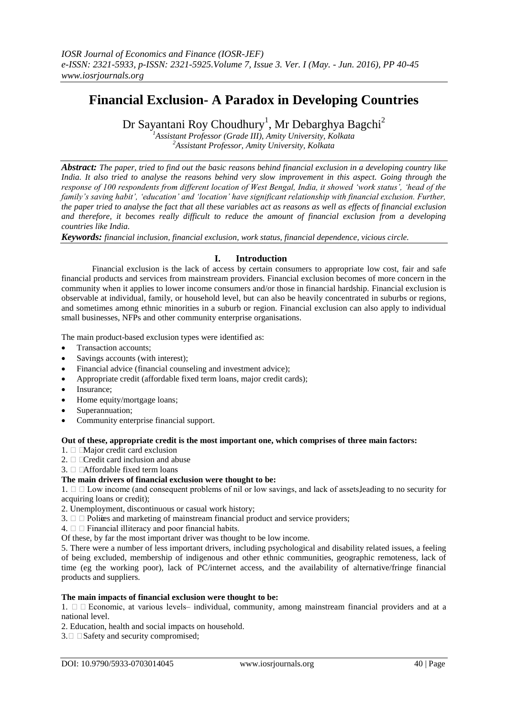# **Financial Exclusion- A Paradox in Developing Countries**

Dr Sayantani Roy Choudhury<sup>1</sup>, Mr Debarghya Bagchi<sup>2</sup>

*<sup>1</sup>Assistant Professor (Grade III), Amity University, Kolkata <sup>2</sup>Assistant Professor, Amity University, Kolkata*

*Abstract: The paper, tried to find out the basic reasons behind financial exclusion in a developing country like India. It also tried to analyse the reasons behind very slow improvement in this aspect. Going through the response of 100 respondents from different location of West Bengal, India, it showed 'work status', 'head of the family's saving habit', 'education' and 'location' have significant relationship with financial exclusion. Further, the paper tried to analyse the fact that all these variables act as reasons as well as effects of financial exclusion and therefore, it becomes really difficult to reduce the amount of financial exclusion from a developing countries like India.*

*Keywords: financial inclusion, financial exclusion, work status, financial dependence, vicious circle.*

# **I. Introduction**

Financial exclusion is the lack of access by certain consumers to appropriate low cost, fair and safe financial products and services from mainstream providers. Financial exclusion becomes of more concern in the community when it applies to lower income consumers and/or those in financial hardship. Financial exclusion is observable at individual, family, or household level, but can also be heavily concentrated in suburbs or regions, and sometimes among ethnic minorities in a suburb or region. Financial exclusion can also apply to individual small businesses, NFPs and other community enterprise organisations.

The main product-based exclusion types were identified as:

- Transaction accounts;
- Savings accounts (with interest);
- Financial advice (financial counseling and investment advice);
- Appropriate credit (affordable fixed term loans, major credit cards);
- Insurance;
- Home equity/mortgage loans;
- Superannuation;
- Community enterprise financial support.

#### **Out of these, appropriate credit is the most important one, which comprises of three main factors:**

- 1.  $\Box$  Major credit card exclusion
- 2. Credit card inclusion and abuse
- 3.  $\Box$   $\Box$  Affordable fixed term loans

#### **The main drivers of financial exclusion were thought to be:**

1.  $\Box$   $\Box$  Low income (and consequent problems of nil or low savings, and lack of assets, leading to no security for acquiring loans or credit);

- 2. Unemployment, discontinuous or casual work history;
- 3.  $\Box$  Polices and marketing of mainstream financial product and service providers;
- $4. \Box$  Financial illiteracy and poor financial habits.

Of these, by far the most important driver was thought to be low income.

5. There were a number of less important drivers, including psychological and disability related issues, a feeling of being excluded, membership of indigenous and other ethnic communities, geographic remoteness, lack of time (eg the working poor), lack of PC/internet access, and the availability of alternative/fringe financial products and suppliers.

# **The main impacts of financial exclusion were thought to be:**

1.  $\Box$  Economic, at various levels-individual, community, among mainstream financial providers and at a national level.

2. Education, health and social impacts on household.

 $3. \Box$   $\Box$  Safety and security compromised;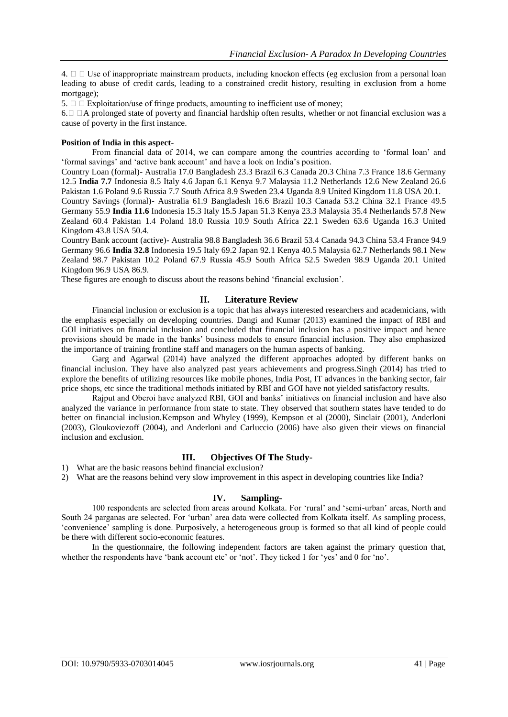$4. \Box$  Use of inappropriate mainstream products, including knockon effects (eg exclusion from a personal loan leading to abuse of credit cards, leading to a constrained credit history, resulting in exclusion from a home mortgage);

5.  $\Box$   $\Box$  Exploitation/use of fringe products, amounting to inefficient use of money;

6.  $\Box$   $\Box$  A prolonged state of poverty and financial hardship often results, whether or not financial exclusion was a cause of poverty in the first instance.

#### **Position of India in this aspect-**

From financial data of 2014, we can compare among the countries according to 'formal loan' and 'formal savings' and 'active bank account' and have a look on India's position.

Country Loan (formal)- Australia 17.0 Bangladesh 23.3 Brazil 6.3 Canada 20.3 China 7.3 France 18.6 Germany 12.5 **India 7.7** Indonesia 8.5 Italy 4.6 Japan 6.1 Kenya 9.7 Malaysia 11.2 Netherlands 12.6 New Zealand 26.6 Pakistan 1.6 Poland 9.6 Russia 7.7 South Africa 8.9 Sweden 23.4 Uganda 8.9 United Kingdom 11.8 USA 20.1. Country Savings (formal)- Australia 61.9 Bangladesh 16.6 Brazil 10.3 Canada 53.2 China 32.1 France 49.5

Germany 55.9 **India 11.6** Indonesia 15.3 Italy 15.5 Japan 51.3 Kenya 23.3 Malaysia 35.4 Netherlands 57.8 New Zealand 60.4 Pakistan 1.4 Poland 18.0 Russia 10.9 South Africa 22.1 Sweden 63.6 Uganda 16.3 United Kingdom 43.8 USA 50.4.

Country Bank account (active)- Australia 98.8 Bangladesh 36.6 Brazil 53.4 Canada 94.3 China 53.4 France 94.9 Germany 96.6 **India 32.8** Indonesia 19.5 Italy 69.2 Japan 92.1 Kenya 40.5 Malaysia 62.7 Netherlands 98.1 New Zealand 98.7 Pakistan 10.2 Poland 67.9 Russia 45.9 South Africa 52.5 Sweden 98.9 Uganda 20.1 United Kingdom 96.9 USA 86.9.

These figures are enough to discuss about the reasons behind 'financial exclusion'.

#### **II. Literature Review**

Financial inclusion or exclusion is a topic that has always interested researchers and academicians, with the emphasis especially on developing countries. Dangi and Kumar (2013) examined the impact of RBI and GOI initiatives on financial inclusion and concluded that financial inclusion has a positive impact and hence provisions should be made in the banks' business models to ensure financial inclusion. They also emphasized the importance of training frontline staff and managers on the human aspects of banking.

Garg and Agarwal (2014) have analyzed the different approaches adopted by different banks on financial inclusion. They have also analyzed past years achievements and progress.Singh (2014) has tried to explore the benefits of utilizing resources like mobile phones, India Post, IT advances in the banking sector, fair price shops, etc since the traditional methods initiated by RBI and GOI have not yielded satisfactory results.

Rajput and Oberoi have analyzed RBI, GOI and banks' initiatives on financial inclusion and have also analyzed the variance in performance from state to state. They observed that southern states have tended to do better on financial inclusion.Kempson and Whyley (1999), Kempson et al (2000), Sinclair (2001), Anderloni (2003), Gloukoviezoff (2004), and Anderloni and Carluccio (2006) have also given their views on financial inclusion and exclusion.

#### **III. Objectives Of The Study-**

1) What are the basic reasons behind financial exclusion?

2) What are the reasons behind very slow improvement in this aspect in developing countries like India?

#### **IV. Sampling-**

100 respondents are selected from areas around Kolkata. For 'rural' and 'semi-urban' areas, North and South 24 parganas are selected. For 'urban' area data were collected from Kolkata itself. As sampling process, 'convenience' sampling is done. Purposively, a heterogeneous group is formed so that all kind of people could be there with different socio-economic features.

In the questionnaire, the following independent factors are taken against the primary question that, whether the respondents have 'bank account etc' or 'not'. They ticked 1 for 'yes' and 0 for 'no'.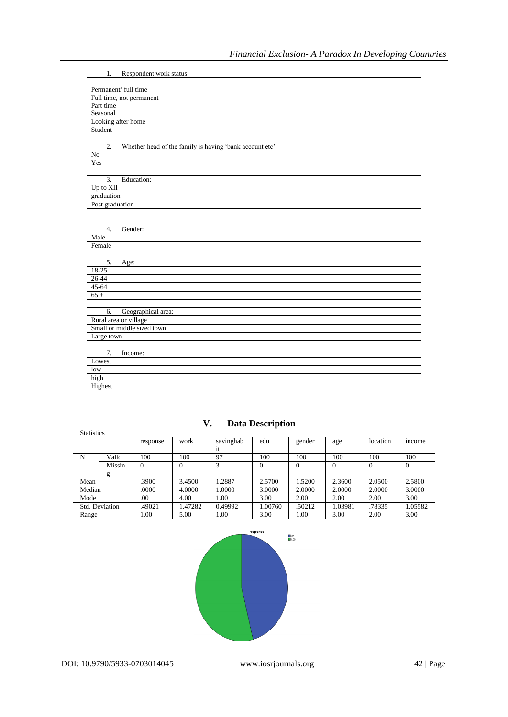| Respondent work status:<br>1.                                               |
|-----------------------------------------------------------------------------|
|                                                                             |
| Permanent/ full time                                                        |
| Full time, not permanent                                                    |
| Part time                                                                   |
| Seasonal                                                                    |
| Looking after home                                                          |
| Student                                                                     |
|                                                                             |
| $\overline{2}$ .<br>Whether head of the family is having 'bank account etc' |
| $\overline{No}$                                                             |
| Yes                                                                         |
|                                                                             |
| $\overline{3}$ .<br>Education:                                              |
| Up to XII                                                                   |
| graduation                                                                  |
| Post graduation                                                             |
|                                                                             |
|                                                                             |
| $\overline{4}$ .<br>Gender:                                                 |
| Male                                                                        |
| Female                                                                      |
|                                                                             |
| 5.<br>Age:                                                                  |
| 18-25                                                                       |
| $26 - 44$                                                                   |
| 45-64                                                                       |
| $65 +$                                                                      |
|                                                                             |
| Geographical area:<br>6.                                                    |
| Rural area or village                                                       |
| Small or middle sized town                                                  |
| Large town                                                                  |
|                                                                             |
| 7.<br>Income:                                                               |
| Lowest                                                                      |
| low                                                                         |
| high                                                                        |
| Highest                                                                     |
|                                                                             |

| <b>Statistics</b> |        |          |         |           |                |        |         |                |         |
|-------------------|--------|----------|---------|-----------|----------------|--------|---------|----------------|---------|
|                   |        | response | work    | savinghab | edu            | gender | age     | location       | income  |
|                   |        |          |         | 1t        |                |        |         |                |         |
| N                 | Valid  | 100      | 100     | 97        | 100            | 100    | 100     | 100            | 100     |
|                   | Missin | 0        | 0       | 3         | $\overline{0}$ | 0      | 0       | $\overline{0}$ |         |
|                   | g      |          |         |           |                |        |         |                |         |
| Mean              |        | .3900    | 3.4500  | 1.2887    | 2.5700         | 1.5200 | 2.3600  | 2.0500         | 2.5800  |
| Median            |        | .0000    | 4.0000  | 1.0000    | 3.0000         | 2.0000 | 2.0000  | 2.0000         | 3.0000  |
| Mode              |        | .00      | 4.00    | 0.01      | 3.00           | 2.00   | 2.00    | 2.00           | 3.00    |
| Std. Deviation    |        | .49021   | 1.47282 | 0.49992   | 1.00760        | .50212 | 1.03981 | .78335         | 1.05582 |
| Range             |        | 00.1     | 5.00    | .00       | 3.00           | .00    | 3.00    | 2.00           | 3.00    |

**V. Data Description**

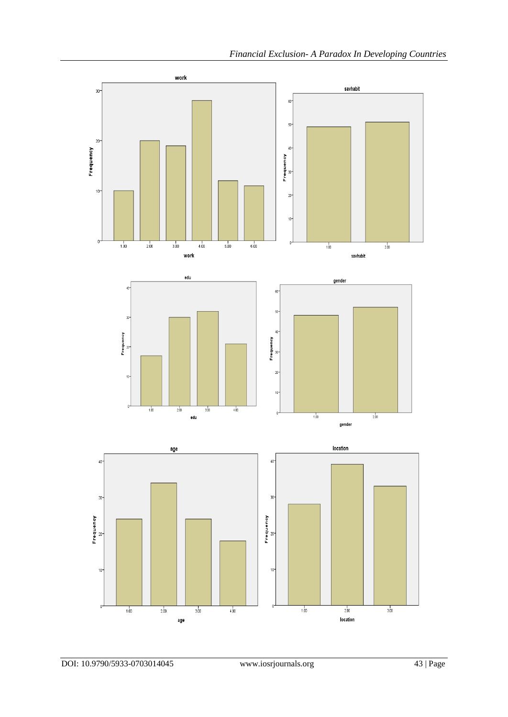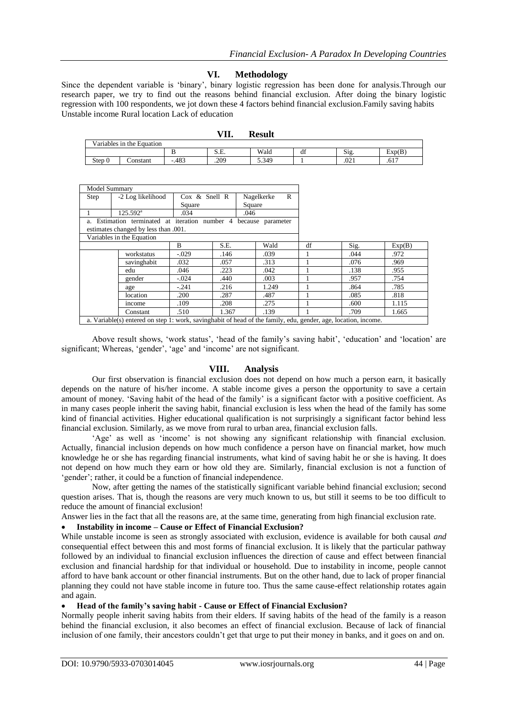# **VI. Methodology**

Since the dependent variable is 'binary', binary logistic regression has been done for analysis.Through our research paper, we try to find out the reasons behind financial exclusion. After doing the binary logistic regression with 100 respondents, we jot down these 4 factors behind financial exclusion.Family saving habits Unstable income Rural location Lack of education

|                           |          |        | 7П.  | Result |          |      |        |
|---------------------------|----------|--------|------|--------|----------|------|--------|
| Variables in the Equation |          |        |      |        |          |      |        |
|                           |          |        | S.E. | Wald   | 10<br>di | S12. | Exp(B) |
| Step 0                    | Constant | $-483$ | .209 | 5.349  |          | .021 | .617   |
|                           |          |        |      |        |          |      |        |

| Model Summary                                                                                               |                           |               |       |                 |    |      |        |  |
|-------------------------------------------------------------------------------------------------------------|---------------------------|---------------|-------|-----------------|----|------|--------|--|
| Step                                                                                                        | -2 Log likelihood         | Cox & Snell R |       | Nagelkerke<br>R |    |      |        |  |
|                                                                                                             |                           | Square        |       | Square          |    |      |        |  |
|                                                                                                             | $125.592^{\mathrm{a}}$    | .034          |       | .046            |    |      |        |  |
| a. Estimation terminated at iteration number 4 because parameter                                            |                           |               |       |                 |    |      |        |  |
| estimates changed by less than .001.                                                                        |                           |               |       |                 |    |      |        |  |
|                                                                                                             | Variables in the Equation |               |       |                 |    |      |        |  |
|                                                                                                             |                           | B             | S.E.  | Wald            | df | Sig. | Exp(B) |  |
|                                                                                                             | workstatus                | $-.029$       | .146  | .039            |    | .044 | .972   |  |
|                                                                                                             | savinghabit               | .032          | .057  | .313            |    | .076 | .969   |  |
|                                                                                                             | edu                       | .046          | .223  | .042            |    | .138 | .955   |  |
|                                                                                                             | gender                    | $-.024$       | .440  | .003            |    | .957 | .754   |  |
|                                                                                                             | age                       | $-.241$       | .216  | 1.249           |    | .864 | .785   |  |
|                                                                                                             | location                  | .200          | .287  | .487            |    | .085 | .818   |  |
|                                                                                                             | income                    | .109          | .208  | .275            |    | .600 | 1.115  |  |
|                                                                                                             | Constant                  | .510          | 1.367 | .139            |    | .709 | 1.665  |  |
| . Westella (a) concern discussion and contentation of the discRess for the setted and deviation to come and |                           |               |       |                 |    |      |        |  |

a. Variable(s) entered on step 1: work, savinghabit of head of the family, edu, gender, age, location, income.

Above result shows, 'work status', 'head of the family's saving habit', 'education' and 'location' are significant; Whereas, 'gender', 'age' and 'income' are not significant.

## **VIII. Analysis**

Our first observation is financial exclusion does not depend on how much a person earn, it basically depends on the nature of his/her income. A stable income gives a person the opportunity to save a certain amount of money. 'Saving habit of the head of the family' is a significant factor with a positive coefficient. As in many cases people inherit the saving habit, financial exclusion is less when the head of the family has some kind of financial activities. Higher educational qualification is not surprisingly a significant factor behind less financial exclusion. Similarly, as we move from rural to urban area, financial exclusion falls.

'Age' as well as 'income' is not showing any significant relationship with financial exclusion. Actually, financial inclusion depends on how much confidence a person have on financial market, how much knowledge he or she has regarding financial instruments, what kind of saving habit he or she is having. It does not depend on how much they earn or how old they are. Similarly, financial exclusion is not a function of 'gender'; rather, it could be a function of financial independence.

Now, after getting the names of the statistically significant variable behind financial exclusion; second question arises. That is, though the reasons are very much known to us, but still it seems to be too difficult to reduce the amount of financial exclusion!

Answer lies in the fact that all the reasons are, at the same time, generating from high financial exclusion rate.

# **Instability in income – Cause or Effect of Financial Exclusion?**

While unstable income is seen as strongly associated with exclusion, evidence is available for both causal *and*  consequential effect between this and most forms of financial exclusion. It is likely that the particular pathway followed by an individual to financial exclusion influences the direction of cause and effect between financial exclusion and financial hardship for that individual or household. Due to instability in income, people cannot afford to have bank account or other financial instruments. But on the other hand, due to lack of proper financial planning they could not have stable income in future too. Thus the same cause-effect relationship rotates again and again.

#### **Head of the family's saving habit - Cause or Effect of Financial Exclusion?**

Normally people inherit saving habits from their elders. If saving habits of the head of the family is a reason behind the financial exclusion, it also becomes an effect of financial exclusion. Because of lack of financial inclusion of one family, their ancestors couldn't get that urge to put their money in banks, and it goes on and on.